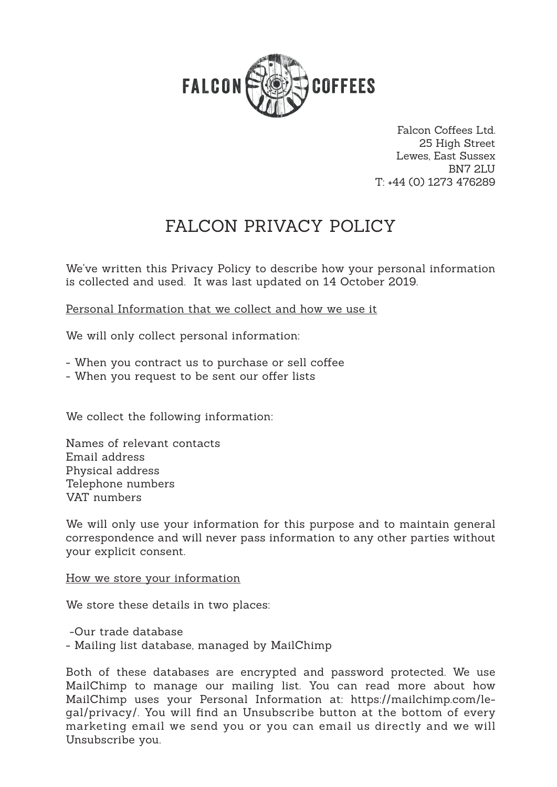

Falcon Coffees Ltd. 25 High Street Lewes, East Sussex BN7 2LU T: +44 (0) 1273 476289

# FALCON PRIVACY POLICY

We've written this Privacy Policy to describe how your personal information is collected and used. It was last updated on 14 October 2019.

Personal Information that we collect and how we use it

We will only collect personal information:

- When you contract us to purchase or sell coffee
- When you request to be sent our offer lists

We collect the following information:

Names of relevant contacts Email address Physical address Telephone numbers VAT numbers

We will only use your information for this purpose and to maintain general correspondence and will never pass information to any other parties without your explicit consent.

#### How we store your information

We store these details in two places:

-Our trade database

- Mailing list database, managed by MailChimp

Both of these databases are encrypted and password protected. We use MailChimp to manage our mailing list. You can read more about how MailChimp uses your Personal Information at: https://mailchimp.com/legal/privacy/. You will find an Unsubscribe button at the bottom of every marketing email we send you or you can email us directly and we will Unsubscribe you.